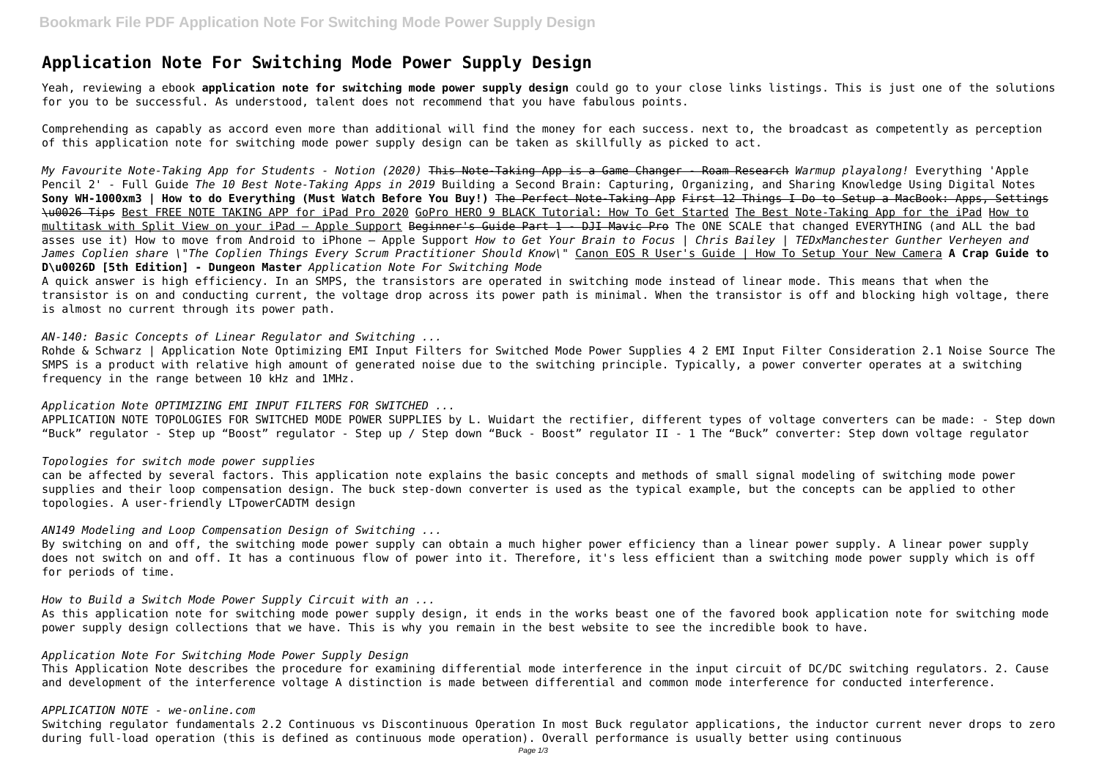# **Application Note For Switching Mode Power Supply Design**

Yeah, reviewing a ebook **application note for switching mode power supply design** could go to your close links listings. This is just one of the solutions for you to be successful. As understood, talent does not recommend that you have fabulous points.

Comprehending as capably as accord even more than additional will find the money for each success. next to, the broadcast as competently as perception of this application note for switching mode power supply design can be taken as skillfully as picked to act.

*My Favourite Note-Taking App for Students - Notion (2020)* This Note-Taking App is a Game Changer - Roam Research *Warmup playalong!* Everything 'Apple Pencil 2' - Full Guide *The 10 Best Note-Taking Apps in 2019* Building a Second Brain: Capturing, Organizing, and Sharing Knowledge Using Digital Notes **Sony WH-1000xm3 | How to do Everything (Must Watch Before You Buy!)** The Perfect Note-Taking App First 12 Things I Do to Setup a MacBook: Apps, Settings \u0026 Tips Best FREE NOTE TAKING APP for iPad Pro 2020 GoPro HERO 9 BLACK Tutorial: How To Get Started The Best Note-Taking App for the iPad How to multitask with Split View on your iPad - Apple Support Beginner's Guide Part 1 - DJI Mavic Pro The ONE SCALE that changed EVERYTHING (and ALL the bad asses use it) How to move from Android to iPhone — Apple Support *How to Get Your Brain to Focus | Chris Bailey | TEDxManchester Gunther Verheyen and James Coplien share \"The Coplien Things Every Scrum Practitioner Should Know\"* Canon EOS R User's Guide | How To Setup Your New Camera **A Crap Guide to D\u0026D [5th Edition] - Dungeon Master** *Application Note For Switching Mode*

Rohde & Schwarz | Application Note Optimizing EMI Input Filters for Switched Mode Power Supplies 4 2 EMI Input Filter Consideration 2.1 Noise Source The SMPS is a product with relative high amount of generated noise due to the switching principle. Typically, a power converter operates at a switching frequency in the range between 10 kHz and 1MHz.

A quick answer is high efficiency. In an SMPS, the transistors are operated in switching mode instead of linear mode. This means that when the transistor is on and conducting current, the voltage drop across its power path is minimal. When the transistor is off and blocking high voltage, there is almost no current through its power path.

#### *AN-140: Basic Concepts of Linear Regulator and Switching ...*

*Application Note OPTIMIZING EMI INPUT FILTERS FOR SWITCHED ...*

APPLICATION NOTE TOPOLOGIES FOR SWITCHED MODE POWER SUPPLIES by L. Wuidart the rectifier, different types of voltage converters can be made: - Step down "Buck" regulator - Step up "Boost" regulator - Step up / Step down "Buck - Boost" regulator II - 1 The "Buck" converter: Step down voltage regulator

## *Topologies for switch mode power supplies*

can be affected by several factors. This application note explains the basic concepts and methods of small signal modeling of switching mode power supplies and their loop compensation design. The buck step-down converter is used as the typical example, but the concepts can be applied to other topologies. A user-friendly LTpowerCADTM design

#### *AN149 Modeling and Loop Compensation Design of Switching ...*

By switching on and off, the switching mode power supply can obtain a much higher power efficiency than a linear power supply. A linear power supply does not switch on and off. It has a continuous flow of power into it. Therefore, it's less efficient than a switching mode power supply which is off for periods of time.

*How to Build a Switch Mode Power Supply Circuit with an ...*

As this application note for switching mode power supply design, it ends in the works beast one of the favored book application note for switching mode power supply design collections that we have. This is why you remain in the best website to see the incredible book to have.

#### *Application Note For Switching Mode Power Supply Design*

This Application Note describes the procedure for examining differential mode interference in the input circuit of DC/DC switching regulators. 2. Cause and development of the interference voltage A distinction is made between differential and common mode interference for conducted interference.

#### *APPLICATION NOTE - we-online.com*

Switching regulator fundamentals 2.2 Continuous vs Discontinuous Operation In most Buck regulator applications, the inductor current never drops to zero during full-load operation (this is defined as continuous mode operation). Overall performance is usually better using continuous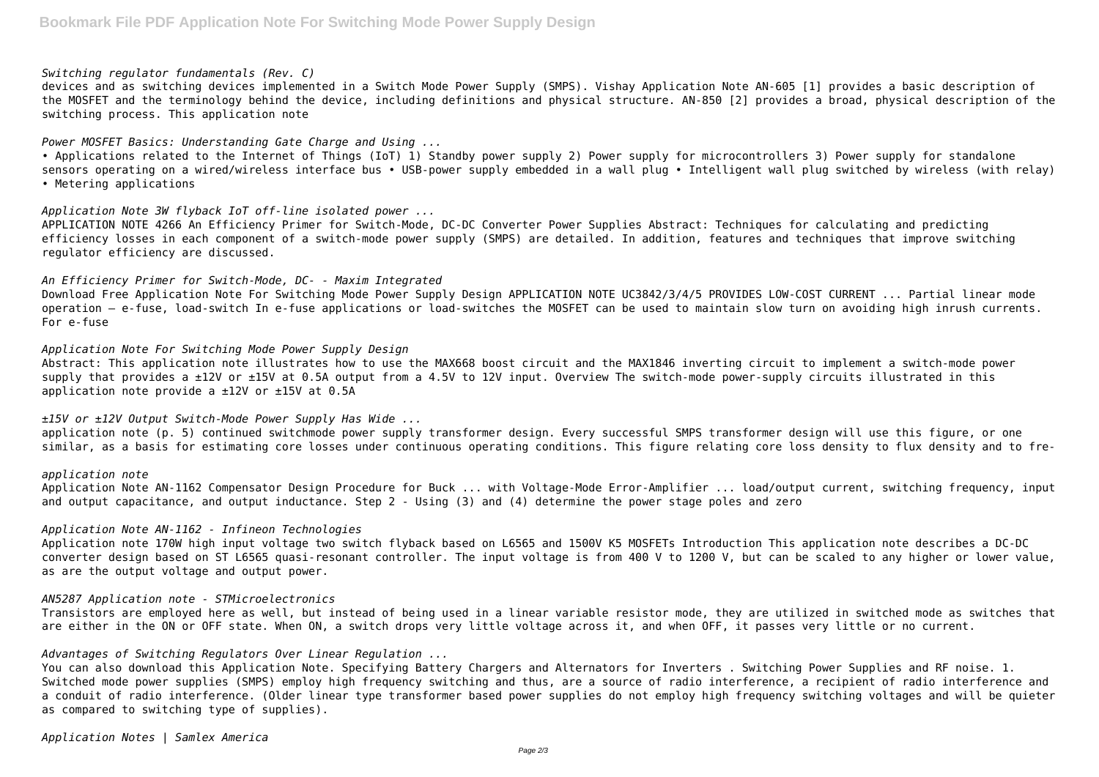## *Switching regulator fundamentals (Rev. C)*

devices and as switching devices implemented in a Switch Mode Power Supply (SMPS). Vishay Application Note AN-605 [1] provides a basic description of the MOSFET and the terminology behind the device, including definitions and physical structure. AN-850 [2] provides a broad, physical description of the switching process. This application note

## *Power MOSFET Basics: Understanding Gate Charge and Using ...*

• Applications related to the Internet of Things (IoT) 1) Standby power supply 2) Power supply for microcontrollers 3) Power supply for standalone sensors operating on a wired/wireless interface bus • USB-power supply embedded in a wall plug • Intelligent wall plug switched by wireless (with relay) • Metering applications

Abstract: This application note illustrates how to use the MAX668 boost circuit and the MAX1846 inverting circuit to implement a switch-mode power supply that provides a ±12V or ±15V at 0.5A output from a 4.5V to 12V input. Overview The switch-mode power-supply circuits illustrated in this application note provide a  $\pm 12V$  or  $\pm 15V$  at 0.5A

## *Application Note 3W flyback IoT off-line isolated power ...*

APPLICATION NOTE 4266 An Efficiency Primer for Switch-Mode, DC-DC Converter Power Supplies Abstract: Techniques for calculating and predicting efficiency losses in each component of a switch-mode power supply (SMPS) are detailed. In addition, features and techniques that improve switching regulator efficiency are discussed.

## *An Efficiency Primer for Switch-Mode, DC- - Maxim Integrated*

Download Free Application Note For Switching Mode Power Supply Design APPLICATION NOTE UC3842/3/4/5 PROVIDES LOW-COST CURRENT ... Partial linear mode operation – e-fuse, load-switch In e-fuse applications or load-switches the MOSFET can be used to maintain slow turn on avoiding high inrush currents. For e-fuse

## *Application Note For Switching Mode Power Supply Design*

# *±15V or ±12V Output Switch-Mode Power Supply Has Wide ...*

application note (p. 5) continued switchmode power supply transformer design. Every successful SMPS transformer design will use this figure, or one similar, as a basis for estimating core losses under continuous operating conditions. This figure relating core loss density to flux density and to fre-

*application note* Application Note AN-1162 Compensator Design Procedure for Buck ... with Voltage-Mode Error-Amplifier ... load/output current, switching frequency, input and output capacitance, and output inductance. Step 2 - Using (3) and (4) determine the power stage poles and zero

#### *Application Note AN-1162 - Infineon Technologies*

Application note 170W high input voltage two switch flyback based on L6565 and 1500V K5 MOSFETs Introduction This application note describes a DC-DC converter design based on ST L6565 quasi-resonant controller. The input voltage is from 400 V to 1200 V, but can be scaled to any higher or lower value, as are the output voltage and output power.

#### *AN5287 Application note - STMicroelectronics*

Transistors are employed here as well, but instead of being used in a linear variable resistor mode, they are utilized in switched mode as switches that are either in the ON or OFF state. When ON, a switch drops very little voltage across it, and when OFF, it passes very little or no current.

# *Advantages of Switching Regulators Over Linear Regulation ...*

You can also download this Application Note. Specifying Battery Chargers and Alternators for Inverters . Switching Power Supplies and RF noise. 1. Switched mode power supplies (SMPS) employ high frequency switching and thus, are a source of radio interference, a recipient of radio interference and a conduit of radio interference. (Older linear type transformer based power supplies do not employ high frequency switching voltages and will be quieter as compared to switching type of supplies).

*Application Notes | Samlex America*